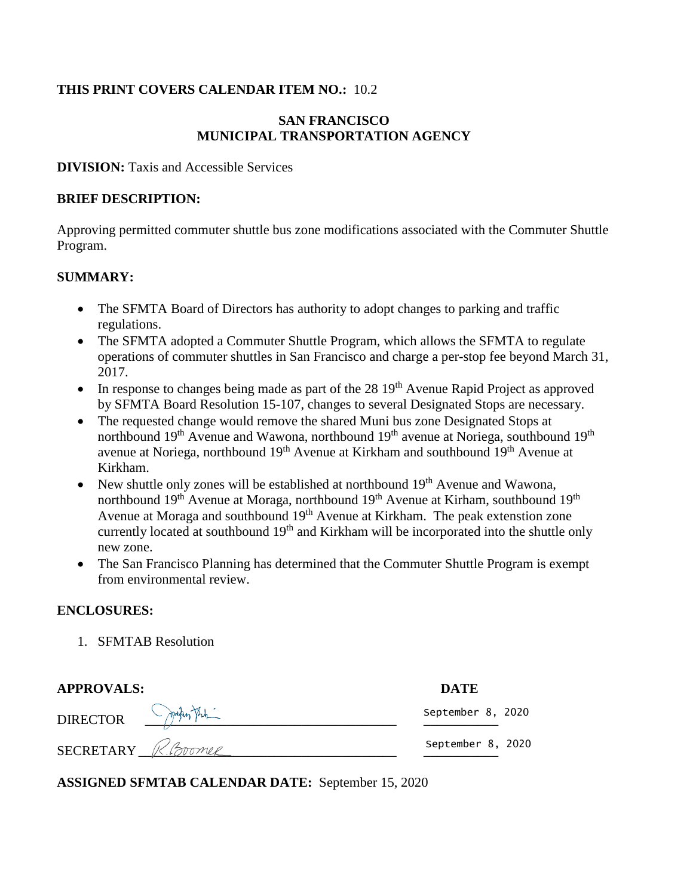#### **THIS PRINT COVERS CALENDAR ITEM NO.:** 10.2

#### **SAN FRANCISCO MUNICIPAL TRANSPORTATION AGENCY**

**DIVISION:** Taxis and Accessible Services

#### **BRIEF DESCRIPTION:**

Approving permitted commuter shuttle bus zone modifications associated with the Commuter Shuttle Program.

#### **SUMMARY:**

- The SFMTA Board of Directors has authority to adopt changes to parking and traffic regulations.
- The SFMTA adopted a Commuter Shuttle Program, which allows the SFMTA to regulate operations of commuter shuttles in San Francisco and charge a per-stop fee beyond March 31, 2017.
- $\bullet$  In response to changes being made as part of the 28 19<sup>th</sup> Avenue Rapid Project as approved by SFMTA Board Resolution 15-107, changes to several Designated Stops are necessary.
- The requested change would remove the shared Muni bus zone Designated Stops at northbound 19<sup>th</sup> Avenue and Wawona, northbound 19<sup>th</sup> avenue at Noriega, southbound 19<sup>th</sup> avenue at Noriega, northbound 19<sup>th</sup> Avenue at Kirkham and southbound 19<sup>th</sup> Avenue at Kirkham.
- New shuttle only zones will be established at northbound  $19<sup>th</sup>$  Avenue and Wawona, northbound 19<sup>th</sup> Avenue at Moraga, northbound 19<sup>th</sup> Avenue at Kirham, southbound 19<sup>th</sup> Avenue at Moraga and southbound 19<sup>th</sup> Avenue at Kirkham. The peak extenstion zone currently located at southbound 19<sup>th</sup> and Kirkham will be incorporated into the shuttle only new zone.
- The San Francisco Planning has determined that the Commuter Shuttle Program is exempt from environmental review.

#### **ENCLOSURES:**

1. SFMTAB Resolution

| <b>APPROVALS:</b>  | <b>DATE</b>       |
|--------------------|-------------------|
| DIRECTOR PART      | September 8, 2020 |
| SECRETARY R.Boomer | September 8, 2020 |

**ASSIGNED SFMTAB CALENDAR DATE:** September 15, 2020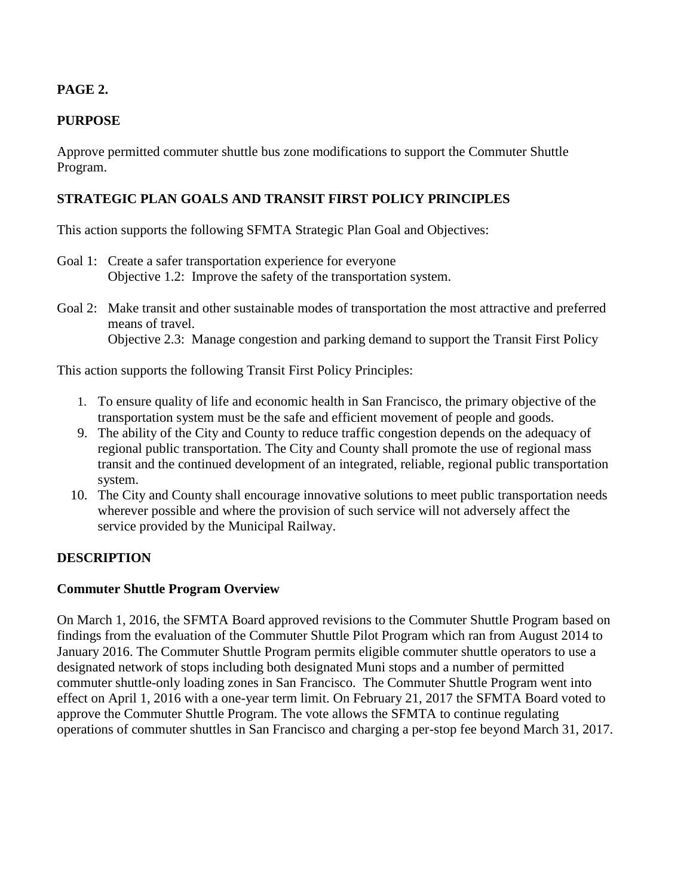## **PAGE 2.**

# **PURPOSE**

Approve permitted commuter shuttle bus zone modifications to support the Commuter Shuttle Program.

## **STRATEGIC PLAN GOALS AND TRANSIT FIRST POLICY PRINCIPLES**

This action supports the following SFMTA Strategic Plan Goal and Objectives:

- Goal 1: Create a safer transportation experience for everyone Objective 1.2: Improve the safety of the transportation system.
- Goal 2: Make transit and other sustainable modes of transportation the most attractive and preferred means of travel. Objective 2.3: Manage congestion and parking demand to support the Transit First Policy

This action supports the following Transit First Policy Principles:

- 1. To ensure quality of life and economic health in San Francisco, the primary objective of the transportation system must be the safe and efficient movement of people and goods.
- 9. The ability of the City and County to reduce traffic congestion depends on the adequacy of regional public transportation. The City and County shall promote the use of regional mass transit and the continued development of an integrated, reliable, regional public transportation system.
- 10. The City and County shall encourage innovative solutions to meet public transportation needs wherever possible and where the provision of such service will not adversely affect the service provided by the Municipal Railway.

#### **DESCRIPTION**

#### **Commuter Shuttle Program Overview**

On March 1, 2016, the SFMTA Board approved revisions to the Commuter Shuttle Program based on findings from the evaluation of the Commuter Shuttle Pilot Program which ran from August 2014 to January 2016. The Commuter Shuttle Program permits eligible commuter shuttle operators to use a designated network of stops including both designated Muni stops and a number of permitted commuter shuttle-only loading zones in San Francisco. The Commuter Shuttle Program went into effect on April 1, 2016 with a one-year term limit. On February 21, 2017 the SFMTA Board voted to approve the Commuter Shuttle Program. The vote allows the SFMTA to continue regulating operations of commuter shuttles in San Francisco and charging a per-stop fee beyond March 31, 2017.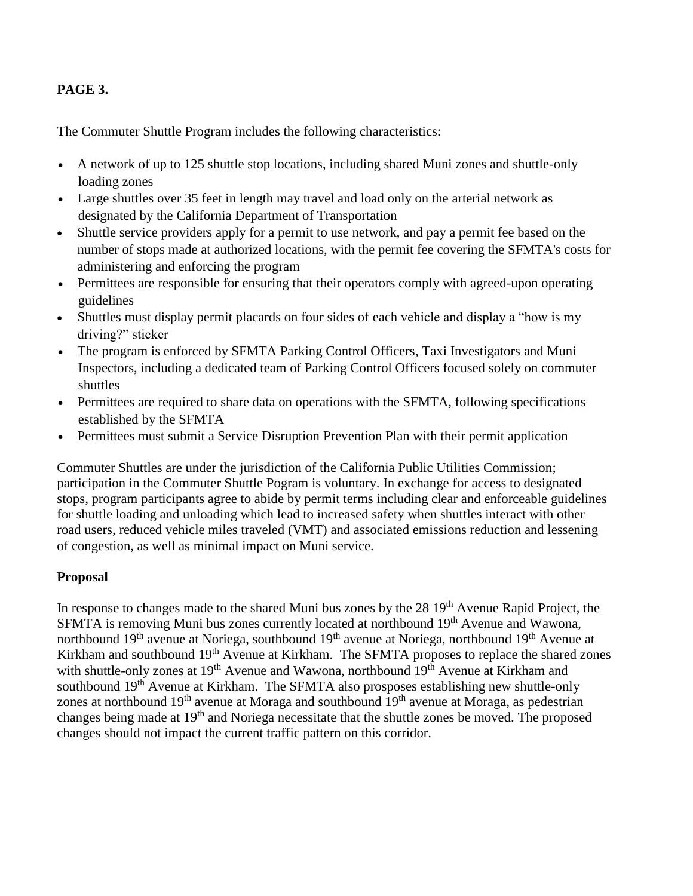### **PAGE 3.**

The Commuter Shuttle Program includes the following characteristics:

- A network of up to 125 shuttle stop locations, including shared Muni zones and shuttle-only loading zones
- Large shuttles over 35 feet in length may travel and load only on the arterial network as designated by the California Department of Transportation
- Shuttle service providers apply for a permit to use network, and pay a permit fee based on the number of stops made at authorized locations, with the permit fee covering the SFMTA's costs for administering and enforcing the program
- Permittees are responsible for ensuring that their operators comply with agreed-upon operating guidelines
- Shuttles must display permit placards on four sides of each vehicle and display a "how is my driving?" sticker
- The program is enforced by SFMTA Parking Control Officers, Taxi Investigators and Muni Inspectors, including a dedicated team of Parking Control Officers focused solely on commuter shuttles
- Permittees are required to share data on operations with the SFMTA, following specifications established by the SFMTA
- Permittees must submit a Service Disruption Prevention Plan with their permit application

Commuter Shuttles are under the jurisdiction of the California Public Utilities Commission; participation in the Commuter Shuttle Pogram is voluntary. In exchange for access to designated stops, program participants agree to abide by permit terms including clear and enforceable guidelines for shuttle loading and unloading which lead to increased safety when shuttles interact with other road users, reduced vehicle miles traveled (VMT) and associated emissions reduction and lessening of congestion, as well as minimal impact on Muni service.

#### **Proposal**

In response to changes made to the shared Muni bus zones by the 28 19<sup>th</sup> Avenue Rapid Project, the SFMTA is removing Muni bus zones currently located at northbound 19<sup>th</sup> Avenue and Wawona, northbound 19<sup>th</sup> avenue at Noriega, southbound 19<sup>th</sup> avenue at Noriega, northbound 19<sup>th</sup> Avenue at Kirkham and southbound 19<sup>th</sup> Avenue at Kirkham. The SFMTA proposes to replace the shared zones with shuttle-only zones at 19<sup>th</sup> Avenue and Wawona, northbound 19<sup>th</sup> Avenue at Kirkham and southbound 19<sup>th</sup> Avenue at Kirkham. The SFMTA also prosposes establishing new shuttle-only zones at northbound  $19<sup>th</sup>$  avenue at Moraga and southbound  $19<sup>th</sup>$  avenue at Moraga, as pedestrian changes being made at 19th and Noriega necessitate that the shuttle zones be moved. The proposed changes should not impact the current traffic pattern on this corridor.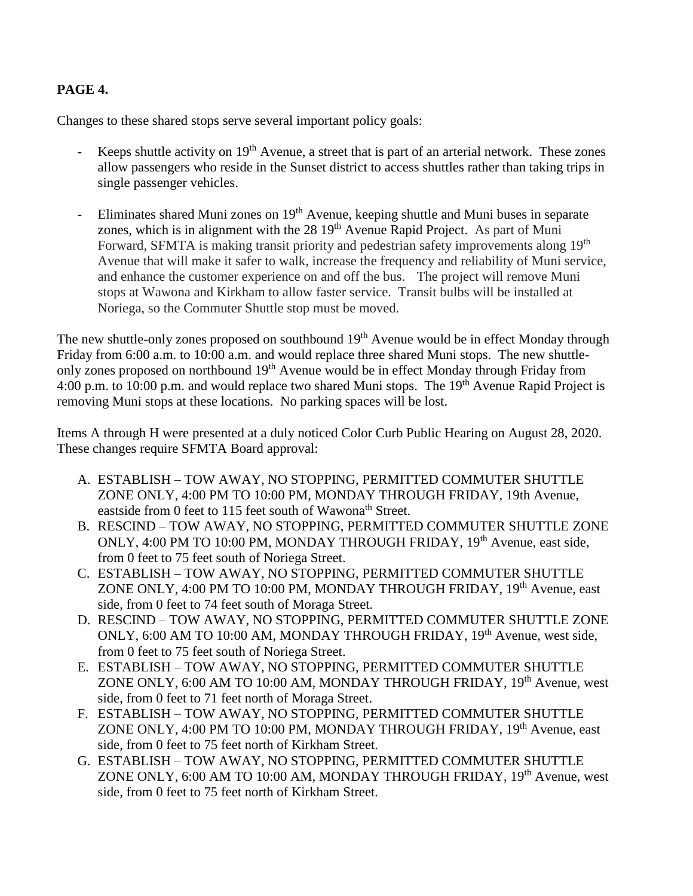### **PAGE 4.**

Changes to these shared stops serve several important policy goals:

- Keeps shuttle activity on  $19<sup>th</sup>$  Avenue, a street that is part of an arterial network. These zones allow passengers who reside in the Sunset district to access shuttles rather than taking trips in single passenger vehicles.
- Eliminates shared Muni zones on 19<sup>th</sup> Avenue, keeping shuttle and Muni buses in separate zones, which is in alignment with the 28 19<sup>th</sup> Avenue Rapid Project. As part of Muni Forward, SFMTA is making transit priority and pedestrian safety improvements along 19<sup>th</sup> Avenue that will make it safer to walk, increase the frequency and reliability of Muni service, and enhance the customer experience on and off the bus. The project will remove Muni stops at Wawona and Kirkham to allow faster service. Transit bulbs will be installed at Noriega, so the Commuter Shuttle stop must be moved.

The new shuttle-only zones proposed on southbound 19<sup>th</sup> Avenue would be in effect Monday through Friday from 6:00 a.m. to 10:00 a.m. and would replace three shared Muni stops. The new shuttleonly zones proposed on northbound 19<sup>th</sup> Avenue would be in effect Monday through Friday from 4:00 p.m. to 10:00 p.m. and would replace two shared Muni stops. The 19<sup>th</sup> Avenue Rapid Project is removing Muni stops at these locations. No parking spaces will be lost.

Items A through H were presented at a duly noticed Color Curb Public Hearing on August 28, 2020. These changes require SFMTA Board approval:

- A. ESTABLISH TOW AWAY, NO STOPPING, PERMITTED COMMUTER SHUTTLE ZONE ONLY, 4:00 PM TO 10:00 PM, MONDAY THROUGH FRIDAY, 19th Avenue, eastside from 0 feet to 115 feet south of Wawona<sup>th</sup> Street.
- B. RESCIND TOW AWAY, NO STOPPING, PERMITTED COMMUTER SHUTTLE ZONE ONLY, 4:00 PM TO 10:00 PM, MONDAY THROUGH FRIDAY, 19<sup>th</sup> Avenue, east side, from 0 feet to 75 feet south of Noriega Street.
- C. ESTABLISH TOW AWAY, NO STOPPING, PERMITTED COMMUTER SHUTTLE ZONE ONLY, 4:00 PM TO 10:00 PM, MONDAY THROUGH FRIDAY, 19<sup>th</sup> Avenue, east side, from 0 feet to 74 feet south of Moraga Street.
- D. RESCIND TOW AWAY, NO STOPPING, PERMITTED COMMUTER SHUTTLE ZONE ONLY, 6:00 AM TO 10:00 AM, MONDAY THROUGH FRIDAY, 19<sup>th</sup> Avenue, west side, from 0 feet to 75 feet south of Noriega Street.
- E. ESTABLISH TOW AWAY, NO STOPPING, PERMITTED COMMUTER SHUTTLE ZONE ONLY, 6:00 AM TO 10:00 AM, MONDAY THROUGH FRIDAY, 19<sup>th</sup> Avenue, west side, from 0 feet to 71 feet north of Moraga Street.
- F. ESTABLISH TOW AWAY, NO STOPPING, PERMITTED COMMUTER SHUTTLE ZONE ONLY, 4:00 PM TO 10:00 PM, MONDAY THROUGH FRIDAY, 19<sup>th</sup> Avenue, east side, from 0 feet to 75 feet north of Kirkham Street.
- G. ESTABLISH TOW AWAY, NO STOPPING, PERMITTED COMMUTER SHUTTLE ZONE ONLY, 6:00 AM TO 10:00 AM, MONDAY THROUGH FRIDAY, 19<sup>th</sup> Avenue, west side, from 0 feet to 75 feet north of Kirkham Street.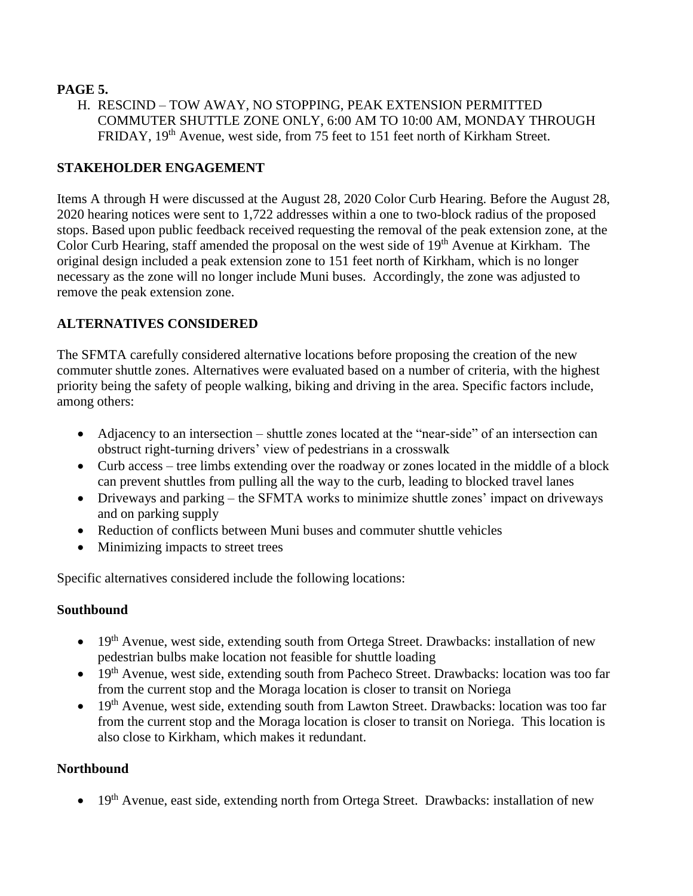### **PAGE 5.**

H. RESCIND – TOW AWAY, NO STOPPING, PEAK EXTENSION PERMITTED COMMUTER SHUTTLE ZONE ONLY, 6:00 AM TO 10:00 AM, MONDAY THROUGH FRIDAY, 19<sup>th</sup> Avenue, west side, from 75 feet to 151 feet north of Kirkham Street.

# **STAKEHOLDER ENGAGEMENT**

Items A through H were discussed at the August 28, 2020 Color Curb Hearing. Before the August 28, 2020 hearing notices were sent to 1,722 addresses within a one to two-block radius of the proposed stops. Based upon public feedback received requesting the removal of the peak extension zone, at the Color Curb Hearing, staff amended the proposal on the west side of 19<sup>th</sup> Avenue at Kirkham. The original design included a peak extension zone to 151 feet north of Kirkham, which is no longer necessary as the zone will no longer include Muni buses. Accordingly, the zone was adjusted to remove the peak extension zone.

# **ALTERNATIVES CONSIDERED**

The SFMTA carefully considered alternative locations before proposing the creation of the new commuter shuttle zones. Alternatives were evaluated based on a number of criteria, with the highest priority being the safety of people walking, biking and driving in the area. Specific factors include, among others:

- Adjacency to an intersection shuttle zones located at the "near-side" of an intersection can obstruct right-turning drivers' view of pedestrians in a crosswalk
- Curb access tree limbs extending over the roadway or zones located in the middle of a block can prevent shuttles from pulling all the way to the curb, leading to blocked travel lanes
- Driveways and parking the SFMTA works to minimize shuttle zones' impact on driveways and on parking supply
- Reduction of conflicts between Muni buses and commuter shuttle vehicles
- Minimizing impacts to street trees

Specific alternatives considered include the following locations:

# **Southbound**

- 19<sup>th</sup> Avenue, west side, extending south from Ortega Street. Drawbacks: installation of new pedestrian bulbs make location not feasible for shuttle loading
- 19<sup>th</sup> Avenue, west side, extending south from Pacheco Street. Drawbacks: location was too far from the current stop and the Moraga location is closer to transit on Noriega
- 19<sup>th</sup> Avenue, west side, extending south from Lawton Street. Drawbacks: location was too far from the current stop and the Moraga location is closer to transit on Noriega. This location is also close to Kirkham, which makes it redundant.

# **Northbound**

• 19<sup>th</sup> Avenue, east side, extending north from Ortega Street. Drawbacks: installation of new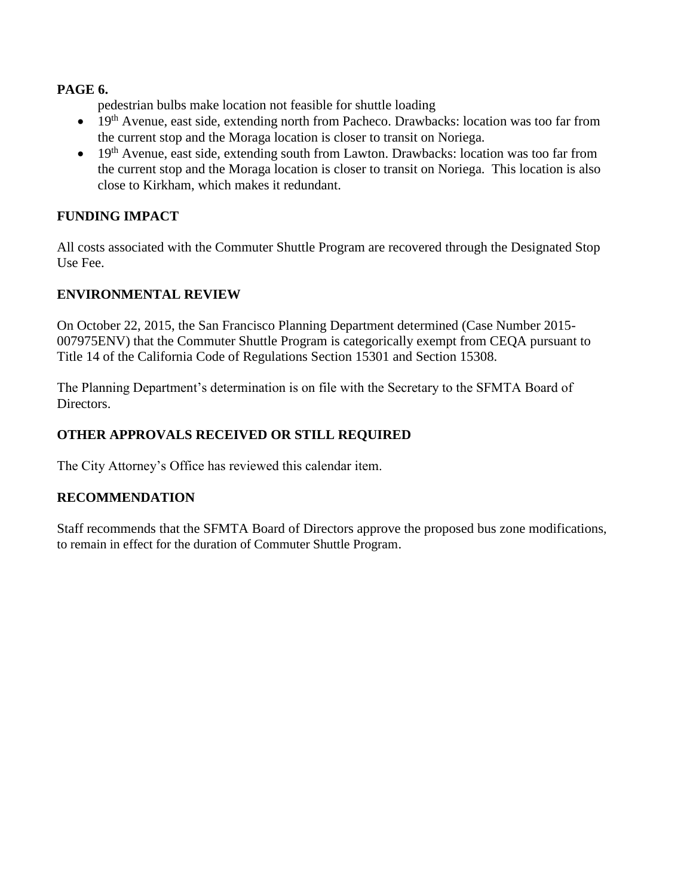#### **PAGE 6.**

pedestrian bulbs make location not feasible for shuttle loading

- 19<sup>th</sup> Avenue, east side, extending north from Pacheco. Drawbacks: location was too far from the current stop and the Moraga location is closer to transit on Noriega.
- $\bullet$  19<sup>th</sup> Avenue, east side, extending south from Lawton. Drawbacks: location was too far from the current stop and the Moraga location is closer to transit on Noriega. This location is also close to Kirkham, which makes it redundant.

### **FUNDING IMPACT**

All costs associated with the Commuter Shuttle Program are recovered through the Designated Stop Use Fee.

#### **ENVIRONMENTAL REVIEW**

On October 22, 2015, the San Francisco Planning Department determined (Case Number 2015- 007975ENV) that the Commuter Shuttle Program is categorically exempt from CEQA pursuant to Title 14 of the California Code of Regulations Section 15301 and Section 15308.

The Planning Department's determination is on file with the Secretary to the SFMTA Board of Directors.

### **OTHER APPROVALS RECEIVED OR STILL REQUIRED**

The City Attorney's Office has reviewed this calendar item.

#### **RECOMMENDATION**

Staff recommends that the SFMTA Board of Directors approve the proposed bus zone modifications, to remain in effect for the duration of Commuter Shuttle Program.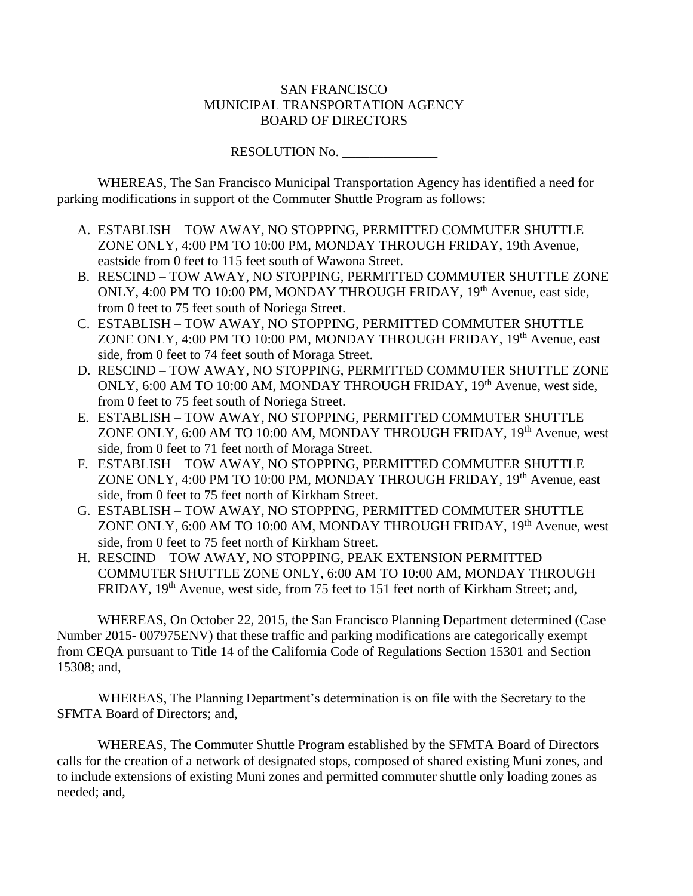#### SAN FRANCISCO MUNICIPAL TRANSPORTATION AGENCY BOARD OF DIRECTORS

RESOLUTION No.

WHEREAS, The San Francisco Municipal Transportation Agency has identified a need for parking modifications in support of the Commuter Shuttle Program as follows:

- A. ESTABLISH TOW AWAY, NO STOPPING, PERMITTED COMMUTER SHUTTLE ZONE ONLY, 4:00 PM TO 10:00 PM, MONDAY THROUGH FRIDAY, 19th Avenue, eastside from 0 feet to 115 feet south of Wawona Street.
- B. RESCIND TOW AWAY, NO STOPPING, PERMITTED COMMUTER SHUTTLE ZONE ONLY, 4:00 PM TO 10:00 PM, MONDAY THROUGH FRIDAY, 19<sup>th</sup> Avenue, east side, from 0 feet to 75 feet south of Noriega Street.
- C. ESTABLISH TOW AWAY, NO STOPPING, PERMITTED COMMUTER SHUTTLE ZONE ONLY, 4:00 PM TO 10:00 PM, MONDAY THROUGH FRIDAY, 19<sup>th</sup> Avenue, east side, from 0 feet to 74 feet south of Moraga Street.
- D. RESCIND TOW AWAY, NO STOPPING, PERMITTED COMMUTER SHUTTLE ZONE ONLY, 6:00 AM TO 10:00 AM, MONDAY THROUGH FRIDAY, 19<sup>th</sup> Avenue, west side, from 0 feet to 75 feet south of Noriega Street.
- E. ESTABLISH TOW AWAY, NO STOPPING, PERMITTED COMMUTER SHUTTLE ZONE ONLY, 6:00 AM TO 10:00 AM, MONDAY THROUGH FRIDAY, 19<sup>th</sup> Avenue, west side, from 0 feet to 71 feet north of Moraga Street.
- F. ESTABLISH TOW AWAY, NO STOPPING, PERMITTED COMMUTER SHUTTLE ZONE ONLY, 4:00 PM TO 10:00 PM, MONDAY THROUGH FRIDAY, 19<sup>th</sup> Avenue, east side, from 0 feet to 75 feet north of Kirkham Street.
- G. ESTABLISH TOW AWAY, NO STOPPING, PERMITTED COMMUTER SHUTTLE ZONE ONLY, 6:00 AM TO 10:00 AM, MONDAY THROUGH FRIDAY, 19<sup>th</sup> Avenue, west side, from 0 feet to 75 feet north of Kirkham Street.
- H. RESCIND TOW AWAY, NO STOPPING, PEAK EXTENSION PERMITTED COMMUTER SHUTTLE ZONE ONLY, 6:00 AM TO 10:00 AM, MONDAY THROUGH FRIDAY, 19<sup>th</sup> Avenue, west side, from 75 feet to 151 feet north of Kirkham Street; and,

WHEREAS, On October 22, 2015, the San Francisco Planning Department determined (Case Number 2015- 007975ENV) that these traffic and parking modifications are categorically exempt from CEQA pursuant to Title 14 of the California Code of Regulations Section 15301 and Section 15308; and,

WHEREAS, The Planning Department's determination is on file with the Secretary to the SFMTA Board of Directors; and,

WHEREAS, The Commuter Shuttle Program established by the SFMTA Board of Directors calls for the creation of a network of designated stops, composed of shared existing Muni zones, and to include extensions of existing Muni zones and permitted commuter shuttle only loading zones as needed; and,